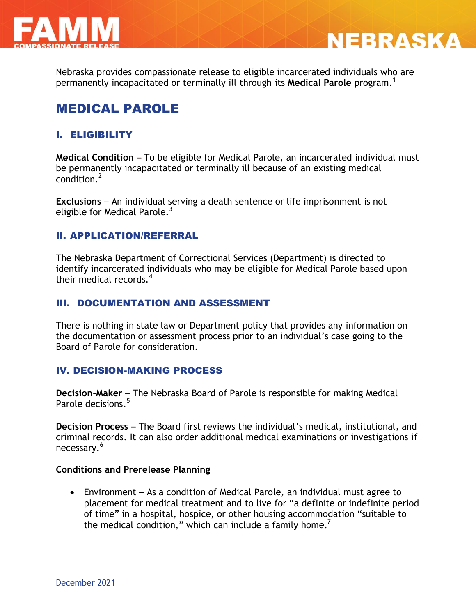



Nebraska provides compassionate release to eligible incarcerated individuals who are permanently incapacitated or terminally ill through its **Medical Parole** program. 1

## MEDICAL PAROLE

## I. ELIGIBILITY

**Medical Condition** – To be eligible for Medical Parole, an incarcerated individual must be permanently incapacitated or terminally ill because of an existing medical condition.<sup>2</sup>

**Exclusions** – An individual serving a death sentence or life imprisonment is not eligible for Medical Parole.<sup>3</sup>

### II. APPLICATION/REFERRAL

The Nebraska Department of Correctional Services (Department) is directed to identify incarcerated individuals who may be eligible for Medical Parole based upon their medical records.<sup>4</sup>

### III. DOCUMENTATION AND ASSESSMENT

There is nothing in state law or Department policy that provides any information on the documentation or assessment process prior to an individual's case going to the Board of Parole for consideration.

### IV. DECISION-MAKING PROCESS

**Decision-Maker** – The Nebraska Board of Parole is responsible for making Medical Parole decisions.<sup>5</sup>

**Decision Process** – The Board first reviews the individual's medical, institutional, and criminal records. It can also order additional medical examinations or investigations if necessary.<sup>6</sup>

#### **Conditions and Prerelease Planning**

 Environment – As a condition of Medical Parole, an individual must agree to placement for medical treatment and to live for "a definite or indefinite period of time" in a hospital, hospice, or other housing accommodation "suitable to the medical condition," which can include a family home.<sup>7</sup>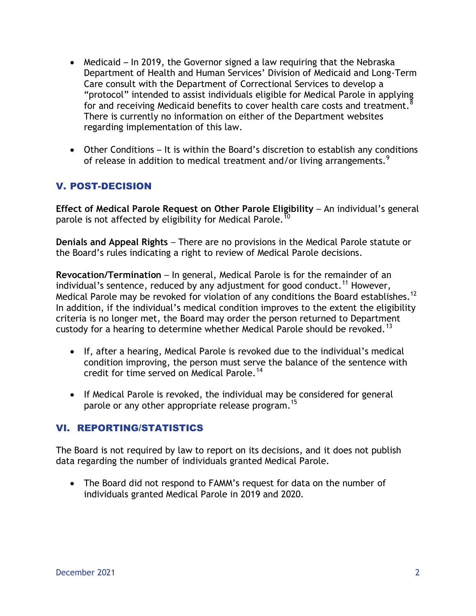- Medicaid In 2019, the Governor signed a law requiring that the Nebraska Department of Health and Human Services' Division of Medicaid and Long-Term Care consult with the Department of Correctional Services to develop a "protocol" intended to assist individuals eligible for Medical Parole in applying for and receiving Medicaid benefits to cover health care costs and treatment.<sup>8</sup> There is currently no information on either of the Department websites regarding implementation of this law.
- Other Conditions It is within the Board's discretion to establish any conditions of release in addition to medical treatment and/or living arrangements.<sup>9</sup>

## V. POST-DECISION

**Effect of Medical Parole Request on Other Parole Eligibility** – An individual's general parole is not affected by eligibility for Medical Parole.  $^{\bar{10}}$ 

**Denials and Appeal Rights** – There are no provisions in the Medical Parole statute or the Board's rules indicating a right to review of Medical Parole decisions.

**Revocation/Termination** – In general, Medical Parole is for the remainder of an individual's sentence, reduced by any adjustment for good conduct.<sup>11</sup> However, Medical Parole may be revoked for violation of any conditions the Board establishes.<sup>12</sup> In addition, if the individual's medical condition improves to the extent the eligibility criteria is no longer met, the Board may order the person returned to Department custody for a hearing to determine whether Medical Parole should be revoked.<sup>13</sup>

- If, after a hearing, Medical Parole is revoked due to the individual's medical condition improving, the person must serve the balance of the sentence with credit for time served on Medical Parole.<sup>14</sup>
- If Medical Parole is revoked, the individual may be considered for general parole or any other appropriate release program.<sup>15</sup>

## VI. REPORTING/STATISTICS

The Board is not required by law to report on its decisions, and it does not publish data regarding the number of individuals granted Medical Parole.

 The Board did not respond to FAMM's request for data on the number of individuals granted Medical Parole in 2019 and 2020.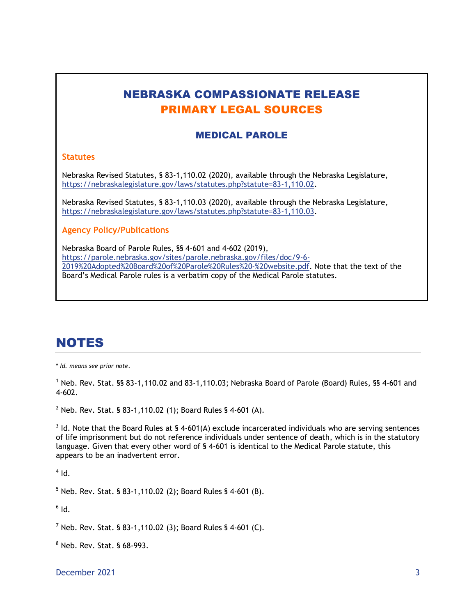## NEBRASKA COMPASSIONATE RELEASE PRIMARY LEGAL SOURCES

#### MEDICAL PAROLE

#### **Statutes**

Nebraska Revised Statutes, § 83-1,110.02 (2020), available through the Nebraska Legislature, [https://nebraskalegislature.gov/laws/statutes.php?statute=83-1,110.02.](https://nebraskalegislature.gov/laws/statutes.php?statute=83-1,110.02)

Nebraska Revised Statutes, § 83-1,110.03 (2020), available through the Nebraska Legislature, [https://nebraskalegislature.gov/laws/statutes.php?statute=83-1,110.03.](https://nebraskalegislature.gov/laws/statutes.php?statute=83-1,110.03)

**Agency Policy/Publications**

Nebraska Board of Parole Rules, §§ 4-601 and 4-602 (2019), [https://parole.nebraska.gov/sites/parole.nebraska.gov/files/doc/9-6-](https://parole.nebraska.gov/sites/parole.nebraska.gov/files/doc/9-6-2019%20Adopted%20Board%20of%20Parole%20Rules%20-%20website.pdf) [2019%20Adopted%20Board%20of%20Parole%20Rules%20-%20website.pdf.](https://parole.nebraska.gov/sites/parole.nebraska.gov/files/doc/9-6-2019%20Adopted%20Board%20of%20Parole%20Rules%20-%20website.pdf) Note that the text of the Board's Medical Parole rules is a verbatim copy of the Medical Parole statutes.

# NOTES

\* *Id. means see prior note.*

<sup>1</sup> Neb. Rev. Stat. §§ 83-1,110.02 and 83-1,110.03; Nebraska Board of Parole (Board) Rules, §§ 4-601 and 4-602.

<sup>2</sup> Neb. Rev. Stat. § 83-1,110.02 (1); Board Rules § 4-601 (A).

 $3$  Id. Note that the Board Rules at § 4-601(A) exclude incarcerated individuals who are serving sentences of life imprisonment but do not reference individuals under sentence of death, which is in the statutory language. Given that every other word of § 4-601 is identical to the Medical Parole statute, this appears to be an inadvertent error.

 $<sup>4</sup>$  Id.</sup>

<sup>5</sup> Neb. Rev. Stat. § 83-1,110.02 (2); Board Rules § 4-601 (B).

 $^6$  Id.

 $7$  Neb. Rev. Stat. § 83-1,110.02 (3): Board Rules § 4-601 (C).

<sup>8</sup> Neb. Rev. Stat. § 68-993.